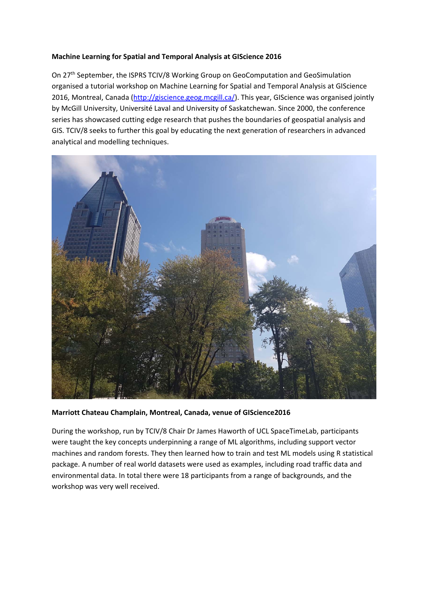## **Machine Learning for Spatial and Temporal Analysis at GIScience 2016**

On 27th September, the ISPRS TCIV/8 Working Group on GeoComputation and GeoSimulation organised a tutorial workshop on Machine Learning for Spatial and Temporal Analysis at GIScience 2016, Montreal, Canada (http://giscience.geog.mcgill.ca/). This year, GIScience was organised jointly by McGill University, Université Laval and University of Saskatchewan. Since 2000, the conference series has showcased cutting edge research that pushes the boundaries of geospatial analysis and GIS. TCIV/8 seeks to further this goal by educating the next generation of researchers in advanced analytical and modelling techniques.



## **Marriott Chateau Champlain, Montreal, Canada, venue of GIScience2016**

During the workshop, run by TCIV/8 Chair Dr James Haworth of UCL SpaceTimeLab, participants were taught the key concepts underpinning a range of ML algorithms, including support vector machines and random forests. They then learned how to train and test ML models using R statistical package. A number of real world datasets were used as examples, including road traffic data and environmental data. In total there were 18 participants from a range of backgrounds, and the workshop was very well received.